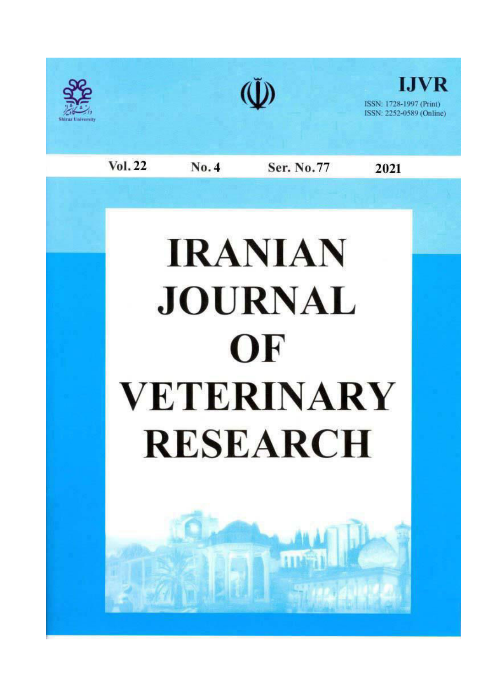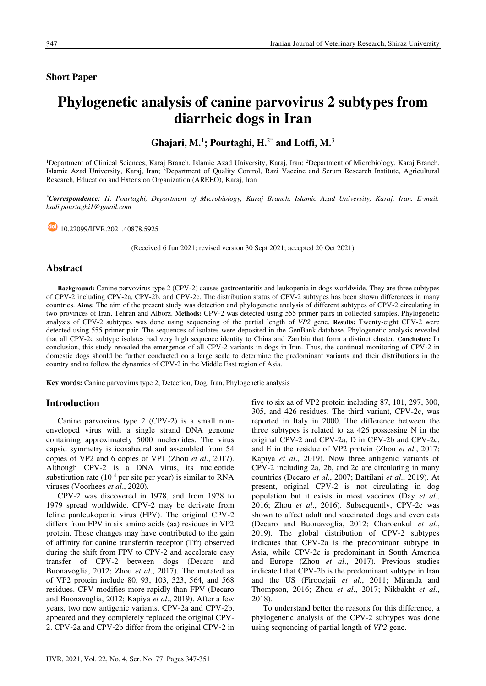# **Short Paper**

# **Phylogenetic analysis of canine paryovirus 2 subtypes from** diarrheic dogs in Iran

Ghajari, M.<sup>1</sup>; Pourtaghi, H.<sup>2\*</sup> and Lotfi, M.<sup>3</sup>

<sup>1</sup>Department of Clinical Sciences, Karaj Branch, Islamic Azad University, Karaj, Iran; <sup>2</sup>Department of Microbiology, Karaj Branch, Islamic Azad University, Karaj, Iran; <sup>3</sup>Department of Quality Control, Razi Vaccine and Serum Research Institute, Agricultural Research, Education and Extension Organization (AREEO), Karaj, Iran

\*Correspondence: H. Pourtaghi, Department of Microbiology, Karaj Branch, Islamic Azad University, Karaj, Iran. E-mail: hadi.pourtaghil@gmail.com

<sup>do</sup> 10.22099/IJVR.2021.40878.5925

(Received 6 Jun 2021; revised version 30 Sept 2021; accepted 20 Oct 2021)

## **Abstract**

Background: Canine parvovirus type 2 (CPV-2) causes gastroenteritis and leukopenia in dogs worldwide. They are three subtypes of CPV-2 including CPV-2a, CPV-2b, and CPV-2c. The distribution status of CPV-2 subtypes has been shown differences in many countries. Aims: The aim of the present study was detection and phylogenetic analysis of different subtypes of CPV-2 circulating in two provinces of Iran, Tehran and Alborz. Methods: CPV-2 was detected using 555 primer pairs in collected samples. Phylogenetic analysis of CPV-2 subtypes was done using sequencing of the partial length of VP2 gene. Results: Twenty-eight CPV-2 were detected using 555 primer pair. The sequences of isolates were deposited in the GenBank database. Phylogenetic analysis revealed that all CPV-2c subtype isolates had very high sequence identity to China and Zambia that form a distinct cluster. Conclusion: In conclusion, this study revealed the emergence of all CPV-2 variants in dogs in Iran. Thus, the continual monitoring of CPV-2 in domestic dogs should be further conducted on a large scale to determine the predominant variants and their distributions in the country and to follow the dynamics of CPV-2 in the Middle East region of Asia.

Key words: Canine parvovirus type 2, Detection, Dog, Iran, Phylogenetic analysis

# **Introduction**

Canine parvovirus type 2 (CPV-2) is a small nonenveloped virus with a single strand DNA genome containing approximately 5000 nucleotides. The virus capsid symmetry is icosahedral and assembled from 54 copies of VP2 and 6 copies of VP1 (Zhou et al., 2017). Although CPV-2 is a DNA virus, its nucleotide substitution rate  $(10^{-4}$  per site per year) is similar to RNA viruses (Voorhees et al., 2020).

CPV-2 was discovered in 1978, and from 1978 to 1979 spread worldwide. CPV-2 may be derivate from feline panleukopenia virus (FPV). The original CPV-2 differs from FPV in six amino acids (aa) residues in VP2 protein. These changes may have contributed to the gain of affinity for canine transferrin receptor (Tfr) observed during the shift from FPV to CPV-2 and accelerate easy transfer of CPV-2 between dogs (Decaro and Buonavoglia, 2012; Zhou et al., 2017). The mutated aa of VP2 protein include 80, 93, 103, 323, 564, and 568 residues. CPV modifies more rapidly than FPV (Decaro and Buonavoglia, 2012; Kapiya et al., 2019). After a few years, two new antigenic variants, CPV-2a and CPV-2b, appeared and they completely replaced the original CPV-2. CPV-2a and CPV-2b differ from the original CPV-2 in five to six aa of VP2 protein including 87, 101, 297, 300, 305, and 426 residues. The third variant, CPV-2c, was reported in Italy in 2000. The difference between the three subtypes is related to aa 426 possessing N in the original CPV-2 and CPV-2a, D in CPV-2b and CPV-2c, and E in the residue of VP2 protein (Zhou et al., 2017; Kapiya et al., 2019). Now three antigenic variants of CPV-2 including 2a, 2b, and 2c are circulating in many countries (Decaro et al., 2007; Battilani et al., 2019). At present, original CPV-2 is not circulating in dog population but it exists in most vaccines (Day et al., 2016: Zhou et al., 2016). Subsequently, CPV-2c was shown to affect adult and vaccinated dogs and even cats (Decaro and Buonavoglia, 2012; Charoenkul et al., 2019). The global distribution of CPV-2 subtypes indicates that CPV-2a is the predominant subtype in Asia, while CPV-2c is predominant in South America and Europe (Zhou et al., 2017). Previous studies indicated that CPV-2b is the predominant subtype in Iran and the US (Firooziaii et al., 2011; Miranda and Thompson, 2016; Zhou et al., 2017; Nikbakht et al., 2018).

To understand better the reasons for this difference, a phylogenetic analysis of the CPV-2 subtypes was done using sequencing of partial length of VP2 gene.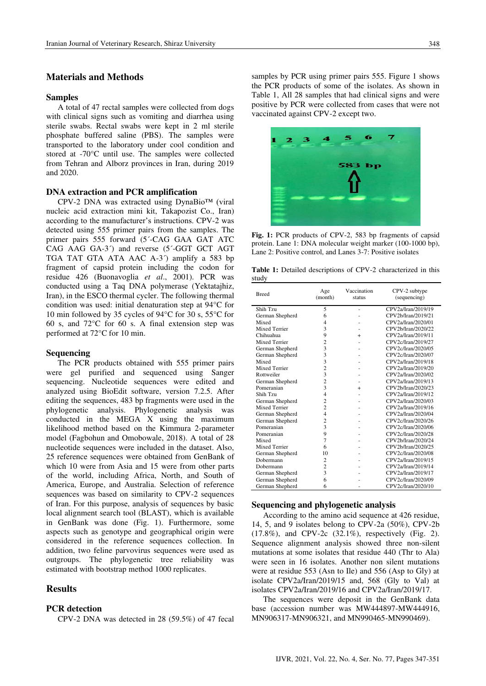# **Materials and Methods**

#### **Samples**

A total of 47 rectal samples were collected from dogs with clinical signs such as vomiting and diarrhea using sterile swabs. Rectal swabs were kept in 2 ml sterile phosphate buffered saline (PBS). The samples were transported to the laboratory under cool condition and stored at -70°C until use. The samples were collected from Tehran and Alborz provinces in Iran, during 2019 and 2020.

# **DNA** extraction and PCR amplification

CPV-2 DNA was extracted using DynaBio<sup>TM</sup> (viral nucleic acid extraction mini kit, Takapozist Co., Iran) according to the manufacturer's instructions. CPV-2 was detected using 555 primer pairs from the samples. The primer pairs 555 forward (5'-CAG GAA GAT ATC CAG AAG GA-3<sup>2</sup>) and reverse (5<sup>2</sup>-GGT GCT AGT TGA TAT GTA ATA AAC A-3<sup>2</sup>) amplify a 583 bp fragment of capsid protein including the codon for residue 426 (Buonavoglia et al., 2001). PCR was conducted using a Taq DNA polymerase (Yektatajhiz, Iran), in the ESCO thermal cycler. The following thermal condition was used: initial denaturation step at  $94^{\circ}$ C for 10 min followed by 35 cycles of  $94^{\circ}$ C for 30 s, 55<sup>o</sup>C for 60 s, and  $72^{\circ}$ C for 60 s. A final extension step was performed at 72°C for 10 min.

#### **Sequencing**

The PCR products obtained with 555 primer pairs were gel purified and sequenced using Sanger sequencing. Nucleotide sequences were edited and analyzed using BioEdit software, version 7.2.5. After editing the sequences, 483 bp fragments were used in the phylogenetic analysis. Phylogenetic analysis was conducted in the MEGA X using the maximum likelihood method based on the Kimmura 2-parameter model (Fagbohun and Omobowale, 2018). A total of 28 nucleotide sequences were included in the dataset. Also, 25 reference sequences were obtained from GenBank of which 10 were from Asia and 15 were from other parts of the world, including Africa, North, and South of America, Europe, and Australia. Selection of reference sequences was based on similarity to CPV-2 sequences of Iran. For this purpose, analysis of sequences by basic local alignment search tool (BLAST), which is available in GenBank was done (Fig. 1). Furthermore, some aspects such as genotype and geographical origin were considered in the reference sequences collection. In addition, two feline parvovirus sequences were used as outgroups. The phylogenetic tree reliability was estimated with bootstrap method 1000 replicates.

# **Results**

# **PCR** detection

CPV-2 DNA was detected in 28  $(59.5\%)$  of 47 fecal

348

samples by PCR using primer pairs 555. Figure 1 shows the PCR products of some of the isolates. As shown in Table 1, All 28 samples that had clinical signs and were positive by PCR were collected from cases that were not vaccinated against CPV-2 except two.



Fig. 1: PCR products of CPV-2, 583 bp fragments of capsid protein. Lane 1: DNA molecular weight marker (100-1000 bp), Lane 2: Positive control, and Lanes 3-7: Positive isolates

Table 1: Detailed descriptions of CPV-2 characterized in this study

| <b>Breed</b>         | Age<br>(month)          | Vaccination<br>status | CPV-2 subtype<br>(sequencing) |
|----------------------|-------------------------|-----------------------|-------------------------------|
| Shih Tzu             | 5                       | ٠                     | CPV2a/Iran/2019/19            |
| German Shepherd      | 6                       |                       | CPV2b/Iran/2019/21            |
| Mixed                | 4                       |                       | CPV2a/Iran/2020/01            |
| <b>Mixed Terrier</b> | 3                       |                       | CPV2b/Iran/2020/22            |
| Chihuahua            | 9                       | $^{+}$                | CPV2a/Iran/2019/11            |
| <b>Mixed Terrier</b> | $\overline{c}$          |                       | CPV2c/Iran/2019/27            |
| German Shepherd      | 3                       |                       | CPV2c/Iran/2020/05            |
| German Shepherd      | 3                       |                       | CPV2c/Iran/2020/07            |
| Mixed                | 3                       |                       | CPV2a/Iran/2019/18            |
| Mixed Terrier        | $\overline{c}$          |                       | CPV2a/Iran/2019/20            |
| Rottweiler           | 3                       |                       | CPV2a/Iran/2020/02            |
| German Shepherd      | $\overline{c}$          |                       | CPV2a/Iran/2019/13            |
| Pomeranian           | $\overline{3}$          | $^{+}$                | CPV2b/Iran/2020/23            |
| Shih Tzu             | $\overline{4}$          |                       | CPV2a/Iran/2019/12            |
| German Shepherd      | $\overline{c}$          | ٠                     | CPV2a/Iran/2020/03            |
| Mixed Terrier        | $\overline{c}$          |                       | CPV2a/Iran/2019/16            |
| German Shepherd      | $\overline{4}$          |                       | CPV2a/Iran/2020/04            |
| German Shepherd      | $\overline{c}$          |                       | CPV2c/Iran/2020/26            |
| Pomeranian           | 3                       |                       | CPV2c/Iran/2020/06            |
| Pomeranian           | 9                       |                       | CPV2c/Iran/2020/28            |
| Mixed                | 7                       |                       | CPV2b/Iran/2020/24            |
| <b>Mixed Terrier</b> | 6                       |                       | CPV2b/Iran/2020/25            |
| German Shepherd      | 10                      |                       | CPV2c/Iran/2020/08            |
| Dobermann            | $\overline{c}$          |                       | CPV2a/Iran/2019/15            |
| Dobermann            | $\overline{c}$          |                       | CPV2a/Iran/2019/14            |
| German Shepherd      | $\overline{\mathbf{3}}$ |                       | CPV2a/Iran/2019/17            |
| German Shepherd      | 6                       |                       | CPV2c/Iran/2020/09            |
| German Shepherd      | 6                       |                       | CPV2c/Iran/2020/10            |

#### Sequencing and phylogenetic analysis

According to the amino acid sequence at 426 residue, 14, 5, and 9 isolates belong to CPV-2a (50%), CPV-2b  $(17.8\%)$ , and CPV-2c  $(32.1\%)$ , respectively (Fig. 2). Sequence alignment analysis showed three non-silent mutations at some isolates that residue 440 (Thr to Ala) were seen in 16 isolates. Another non silent mutations were at residue 553 (Asn to Ile) and 556 (Asp to Gly) at isolate CPV2a/Iran/2019/15 and, 568 (Gly to Val) at isolates CPV2a/Iran/2019/16 and CPV2a/Iran/2019/17.

The sequences were deposit in the GenBank data base (accession number was MW444897-MW444916, MN906317-MN906321, and MN990465-MN990469).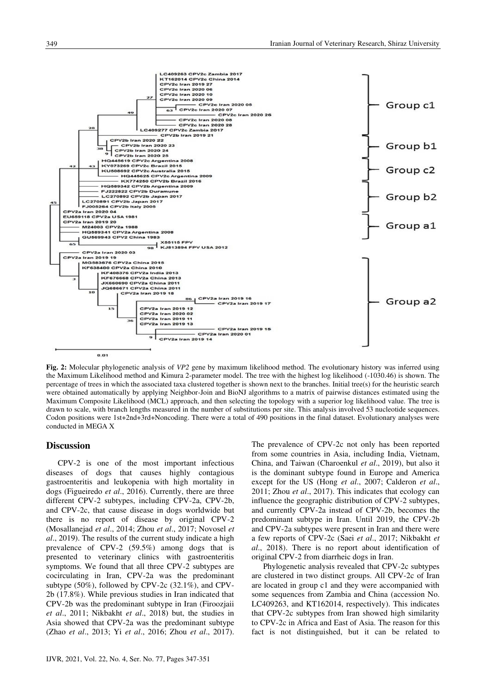

Fig. 2: Molecular phylogenetic analysis of VP2 gene by maximum likelihood method. The evolutionary history was inferred using the Maximum Likelihood method and Kimura 2-parameter model. The tree with the highest log likelihood (-1030.46) is shown. The percentage of trees in which the associated taxa clustered together is shown next to the branches. Initial tree(s) for the heuristic search were obtained automatically by applying Neighbor-Join and BioNJ algorithms to a matrix of pairwise distances estimated using the Maximum Composite Likelihood (MCL) approach, and then selecting the topology with a superior log likelihood value. The tree is drawn to scale, with branch lengths measured in the number of substitutions per site. This analysis involved 53 nucleotide sequences. Codon positions were 1st+2nd+3rd+Noncoding. There were a total of 490 positions in the final dataset. Evolutionary analyses were conducted in MEGA X

## **Discussion**

CPV-2 is one of the most important infectious diseases of dogs that causes highly contagious gastroenteritis and leukopenia with high mortality in dogs (Figueiredo et al., 2016). Currently, there are three different CPV-2 subtypes, including CPV-2a, CPV-2b, and CPV-2c, that cause disease in dogs worldwide but there is no report of disease by original CPV-2 (Mosallanejad et al., 2014; Zhou et al., 2017; Novosel et al., 2019). The results of the current study indicate a high prevalence of CPV-2 (59.5%) among dogs that is presented to veterinary clinics with gastroenteritis symptoms. We found that all three CPV-2 subtypes are cocirculating in Iran, CPV-2a was the predominant subtype  $(50\%)$ , followed by CPV-2c  $(32.1\%)$ , and CPV-2b (17.8%). While previous studies in Iran indicated that CPV-2b was the predominant subtype in Iran (Firooziaii) et al., 2011; Nikbakht et al., 2018) but, the studies in Asia showed that CPV-2a was the predominant subtype (Zhao et al., 2013; Yi et al., 2016; Zhou et al., 2017). The prevalence of CPV-2c not only has been reported from some countries in Asia, including India, Vietnam, China, and Taiwan (Charoenkul et al., 2019), but also it is the dominant subtype found in Europe and America except for the US (Hong et al., 2007; Calderon et al., 2011; Zhou et al., 2017). This indicates that ecology can influence the geographic distribution of CPV-2 subtypes, and currently CPV-2a instead of CPV-2b, becomes the predominant subtype in Iran. Until 2019, the CPV-2b and CPV-2a subtypes were present in Iran and there were a few reports of CPV-2c (Saei et al., 2017; Nikbakht et al., 2018). There is no report about identification of original CPV-2 from diarrheic dogs in Iran.

Phylogenetic analysis revealed that CPV-2c subtypes are clustered in two distinct groups. All CPV-2c of Iran are located in group c1 and they were accompanied with some sequences from Zambia and China (accession No. LC409263, and KT162014, respectively). This indicates that CPV-2c subtypes from Iran showed high similarity to CPV-2c in Africa and East of Asia. The reason for this fact is not distinguished, but it can be related to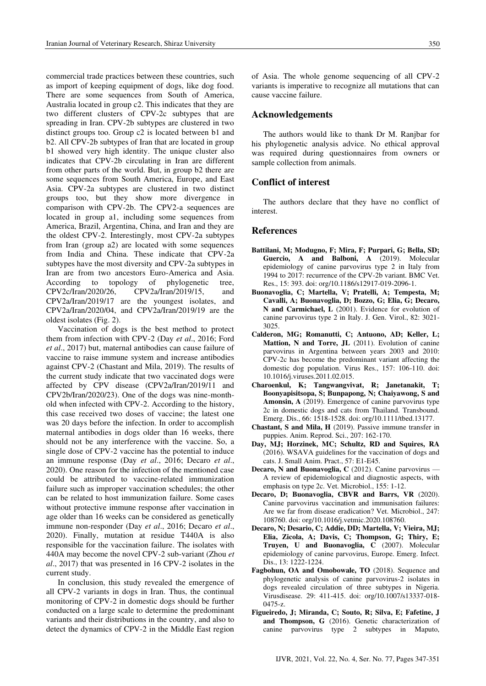commercial trade practices between these countries, such as import of keeping equipment of dogs, like dog food. There are some sequences from South of America, Australia located in group c2. This indicates that they are two different clusters of CPV-2c subtypes that are spreading in Iran. CPV-2b subtypes are clustered in two distinct groups too. Group c2 is located between b1 and b2. All CPV-2b subtypes of Iran that are located in group b1 showed very high identity. The unique cluster also indicates that CPV-2b circulating in Iran are different from other parts of the world. But, in group b2 there are some sequences from South America, Europe, and East Asia. CPV-2a subtypes are clustered in two distinct groups too, but they show more divergence in comparison with CPV-2b. The CPV2-a sequences are located in group a1, including some sequences from America, Brazil, Argentina, China, and Iran and they are the oldest CPV-2. Interestingly, most CPV-2a subtypes from Iran (group a2) are located with some sequences from India and China. These indicate that CPV-2a subtypes have the most diversity and CPV-2a subtypes in Iran are from two ancestors Euro-America and Asia. tree. According to topology of phylogenetic CPV2a/Iran/2019/15, CPV2c/Iran/2020/26, and CPV2a/Iran/2019/17 are the youngest isolates, and CPV2a/Iran/2020/04, and CPV2a/Iran/2019/19 are the oldest isolates (Fig. 2).

Vaccination of dogs is the best method to protect them from infection with CPV-2 (Day et al., 2016; Ford et al., 2017) but, maternal antibodies can cause failure of vaccine to raise immune system and increase antibodies against CPV-2 (Chastant and Mila, 2019). The results of the current study indicate that two vaccinated dogs were affected by CPV disease (CPV2a/Iran/2019/11 and CPV2b/Iran/2020/23). One of the dogs was nine-monthold when infected with CPV-2. According to the history, this case received two doses of vaccine; the latest one was 20 days before the infection. In order to accomplish maternal antibodies in dogs older than 16 weeks, there should not be any interference with the vaccine. So, a single dose of CPV-2 vaccine has the potential to induce an immune response (Day et al., 2016; Decaro et al., 2020). One reason for the infection of the mentioned case could be attributed to vaccine-related immunization failure such as improper vaccination schedules; the other can be related to host immunization failure. Some cases without protective immune response after vaccination in age older than 16 weeks can be considered as genetically immune non-responder (Day et al., 2016; Decaro et al., 2020). Finally, mutation at residue T440A is also responsible for the vaccination failure. The isolates with 440A may become the novel CPV-2 sub-variant (Zhou et al., 2017) that was presented in 16 CPV-2 isolates in the current study.

In conclusion, this study revealed the emergence of all CPV-2 variants in dogs in Iran. Thus, the continual monitoring of CPV-2 in domestic dogs should be further conducted on a large scale to determine the predominant variants and their distributions in the country, and also to detect the dynamics of CPV-2 in the Middle East region of Asia. The whole genome sequencing of all CPV-2 variants is imperative to recognize all mutations that can cause vaccine failure.

## Acknowledgements

The authors would like to thank Dr M. Ranjbar for his phylogenetic analysis advice. No ethical approval was required during questionnaires from owners or sample collection from animals.

## **Conflict of interest**

The authors declare that they have no conflict of interest.

#### **References**

- Battilani, M; Modugno, F; Mira, F; Purpari, G; Bella, SD; Guercio, A and Balboni, A (2019). Molecular epidemiology of canine parvovirus type 2 in Italy from 1994 to 2017: recurrence of the CPV-2b variant. BMC Vet. Res., 15: 393. doi: org/10.1186/s12917-019-2096-1.
- Buonavoglia, C; Martella, V; Pratelli, A; Tempesta, M; Cavalli, A; Buonavoglia, D; Bozzo, G; Elia, G; Decaro, N and Carmichael, L (2001). Evidence for evolution of canine parvovirus type 2 in Italy. J. Gen. Virol., 82: 3021-3025.
- Calderon, MG; Romanutti, C; Antuono, AD; Keller, L; Mattion, N and Torre, JL (2011). Evolution of canine parvovirus in Argentina between years 2003 and 2010: CPV-2c has become the predominant variant affecting the domestic dog population. Virus Res., 157: 106-110. doi: 10.1016/j.viruses.2011.02.015.
- Charoenkul, K; Tangwangvivat, R; Janetanakit, T; Boonyapisitsopa, S; Bunpapong, N; Chaiyawong, S and Amonsin, A (2019). Emergence of canine parvovirus type 2c in domestic dogs and cats from Thailand. Transbound. Emerg. Dis., 66: 1518-1528. doi: org/10.1111/tbed.13177.
- Chastant, S and Mila, H (2019). Passive immune transfer in puppies. Anim. Reprod. Sci., 207: 162-170.
- Day, MJ; Horzinek, MC; Schultz, RD and Squires, RA (2016). WSAVA guidelines for the vaccination of dogs and cats. J. Small Anim. Pract., 57: E1-E45.
- Decaro, N and Buonavoglia, C (2012). Canine parvovirus A review of epidemiological and diagnostic aspects, with emphasis on type 2c. Vet. Microbiol., 155: 1-12.
- Decaro, D; Buonavoglia, CBVR and Barrs, VR (2020). Canine parvovirus vaccination and immunisation failures: Are we far from disease eradication? Vet. Microbiol., 247: 108760. doi: org/10.1016/j.vetmic.2020.108760.
- Decaro, N; Desario, C; Addie, DD; Martella, V; Vieira, MJ; Elia, Zicola, A; Davis, C; Thompson, G; Thiry, E; Truyen, U and Buonavoglia, C (2007). Molecular epidemiology of canine parvovirus, Europe. Emerg. Infect. Dis., 13: 1222-1224.
- Fagbohun, OA and Omobowale, TO (2018). Sequence and phylogenetic analysis of canine parvovirus-2 isolates in dogs revealed circulation of three subtypes in Nigeria. Virusdisease. 29: 411-415. doi: org/10.1007/s13337-018- $0475-z$
- Figueiredo, J; Miranda, C; Souto, R; Silva, E; Fafetine, J and Thompson, G (2016). Genetic characterization of canine parvovirus type 2 subtypes in Maputo,